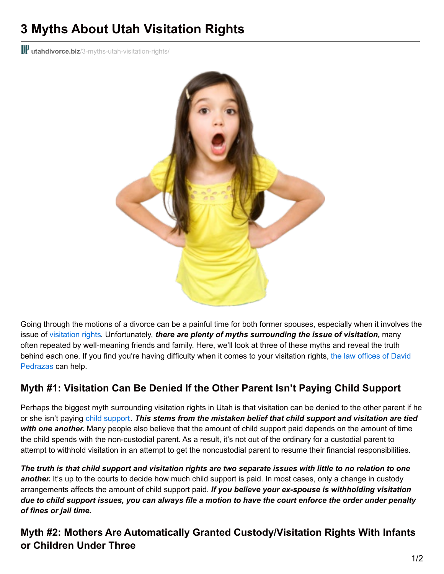# **3 Myths About Utah Visitation Rights**

**Ill utahdivorce.biz**[/3-myths-utah-visitation-rights/](https://utahdivorce.biz/3-myths-utah-visitation-rights/)



Going through the motions of a divorce can be a painful time for both former spouses, especially when it involves the issue of [visitation](https://utahdivorce.biz/Child-Custody/index.html) rights. Unfortunately, *there are plenty of myths surrounding the issue of visitation,* many often repeated by well-meaning friends and family. Here, we'll look at three of these myths and reveal the truth behind each one. If you find you're having difficulty when it comes to your visitation rights, the law offices of David [Pedrazas](https://utahdivorce.biz/) can help.

# **Myth #1: Visitation Can Be Denied If the Other Parent Isn't Paying Child Support**

Perhaps the biggest myth surrounding visitation rights in Utah is that visitation can be denied to the other parent if he or she isn't paying child [support](https://utahdivorce.biz/Child-Support/index.html). *This stems from the mistaken belief that child support and visitation are tied with one another.* Many people also believe that the amount of child support paid depends on the amount of time the child spends with the non-custodial parent. As a result, it's not out of the ordinary for a custodial parent to attempt to withhold visitation in an attempt to get the noncustodial parent to resume their financial responsibilities.

The truth is that child support and visitation rights are two separate issues with little to no relation to one another. It's up to the courts to decide how much child support is paid. In most cases, only a change in custody arrangements affects the amount of child support paid. *If you believe your ex-spouse is withholding visitation* due to child support issues, you can always file a motion to have the court enforce the order under penalty *of fines or jail time.*

### **Myth #2: Mothers Are Automatically Granted Custody/Visitation Rights With Infants or Children Under Three**